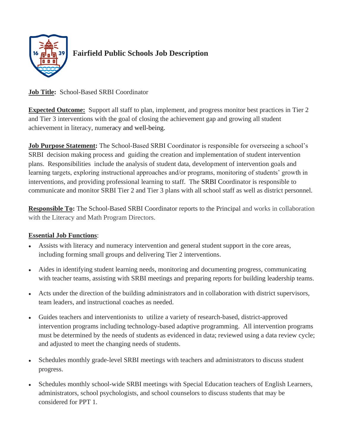

# **Fairfield Public Schools Job Description**

# **Job Title:** School-Based SRBI Coordinator

**Expected Outcome:** Support all staff to plan, implement, and progress monitor best practices in Tier 2 and Tier 3 interventions with the goal of closing the achievement gap and growing all student achievement in literacy, numeracy and well-being.

**Job Purpose Statement:** The School-Based SRBI Coordinator is responsible for overseeing a school's SRBI decision making process and guiding the creation and implementation of student intervention plans. Responsibilities include the analysis of student data, development of intervention goals and learning targets, exploring instructional approaches and/or programs, monitoring of students' growth in interventions, and providing professional learning to staff. The SRBI Coordinator is responsible to communicate and monitor SRBI Tier 2 and Tier 3 plans with all school staff as well as district personnel.

**Responsible To:** The School-Based SRBI Coordinator reports to the Principal and works in collaboration with the Literacy and Math Program Directors.

## **Essential Job Functions**:

- Assists with literacy and numeracy intervention and general student support in the core areas, including forming small groups and delivering Tier 2 interventions.
- Aides in identifying student learning needs, monitoring and documenting progress, communicating with teacher teams, assisting with SRBI meetings and preparing reports for building leadership teams.
- Acts under the direction of the building administrators and in collaboration with district supervisors, team leaders, and instructional coaches as needed.
- Guides teachers and interventionists to utilize a variety of research-based, district-approved intervention programs including technology-based adaptive programming. All intervention programs must be determined by the needs of students as evidenced in data; reviewed using a data review cycle; and adjusted to meet the changing needs of students.
- Schedules monthly grade-level SRBI meetings with teachers and administrators to discuss student progress.
- Schedules monthly school-wide SRBI meetings with Special Education teachers of English Learners, administrators, school psychologists, and school counselors to discuss students that may be considered for PPT 1.